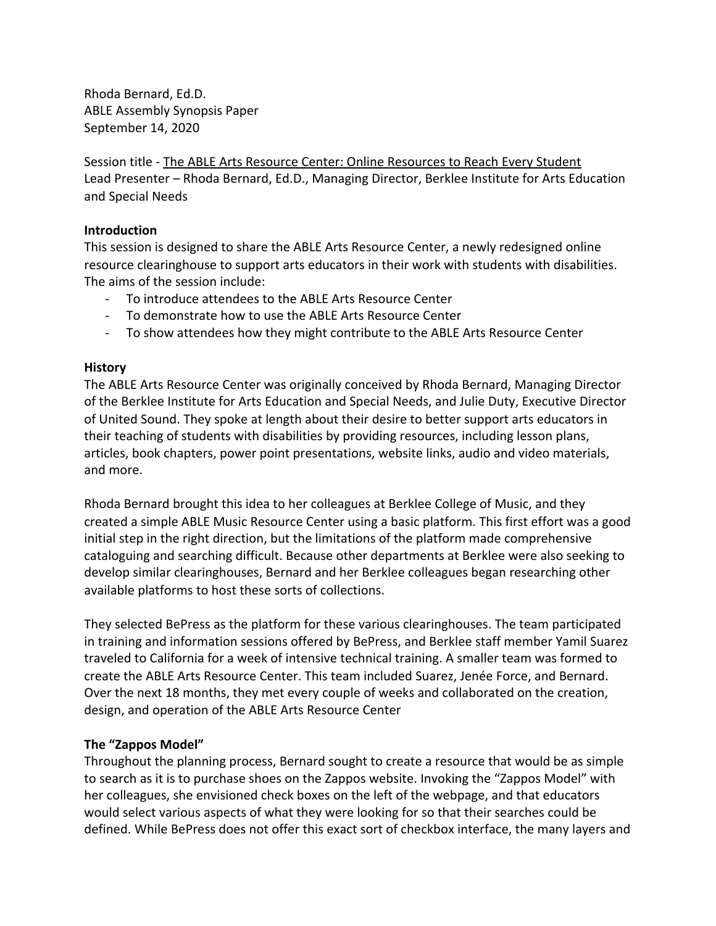Rhoda Bernard, Ed.D. ABLE Assembly Synopsis Paper September 14, 2020

Session title - The ABLE Arts Resource Center: Online Resources to Reach Every Student Lead Presenter – Rhoda Bernard, Ed.D., Managing Director, Berklee Institute for Arts Education and Special Needs

### **Introduction**

This session is designed to share the ABLE Arts Resource Center, a newly redesigned online resource clearinghouse to support arts educators in their work with students with disabilities. The aims of the session include:

- To introduce attendees to the ABLE Arts Resource Center
- To demonstrate how to use the ABLE Arts Resource Center
- To show attendees how they might contribute to the ABLE Arts Resource Center

### **History**

The ABLE Arts Resource Center was originally conceived by Rhoda Bernard, Managing Director of the Berklee Institute for Arts Education and Special Needs, and Julie Duty, Executive Director of United Sound. They spoke at length about their desire to better support arts educators in their teaching of students with disabilities by providing resources, including lesson plans, articles, book chapters, power point presentations, website links, audio and video materials, and more.

Rhoda Bernard brought this idea to her colleagues at Berklee College of Music, and they created a simple ABLE Music Resource Center using a basic platform. This first effort was a good initial step in the right direction, but the limitations of the platform made comprehensive cataloguing and searching difficult. Because other departments at Berklee were also seeking to develop similar clearinghouses, Bernard and her Berklee colleagues began researching other available platforms to host these sorts of collections.

They selected BePress as the platform for these various clearinghouses. The team participated in training and information sessions offered by BePress, and Berklee staff member Yamil Suarez traveled to California for a week of intensive technical training. A smaller team was formed to create the ABLE Arts Resource Center. This team included Suarez, Jenée Force, and Bernard. Over the next 18 months, they met every couple of weeks and collaborated on the creation, design, and operation of the ABLE Arts Resource Center

### **The "Zappos Model"**

Throughout the planning process, Bernard sought to create a resource that would be as simple to search as it is to purchase shoes on the Zappos website. Invoking the "Zappos Model" with her colleagues, she envisioned check boxes on the left of the webpage, and that educators would select various aspects of what they were looking for so that their searches could be defined. While BePress does not offer this exact sort of checkbox interface, the many layers and